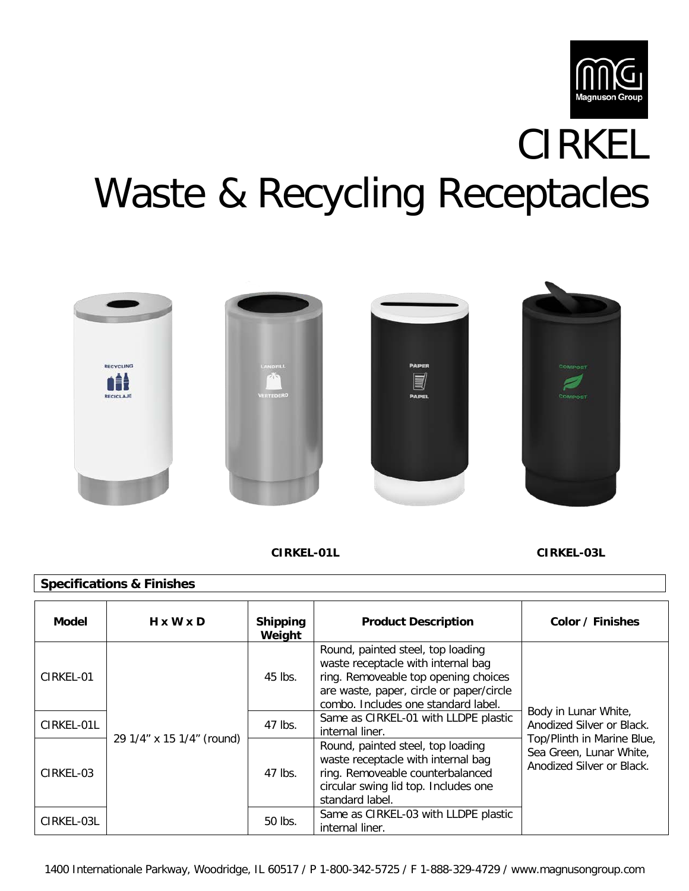

# CIRKEL Waste & Recycling Receptacles



 **CIRKEL-01L CIRKEL-03L**

# **Specifications & Finishes**

| Model      | $H \times W \times D$     | <b>Shipping</b><br>Weight | <b>Product Description</b>                                                                                                                                                                         | Color / Finishes                                                                                                                        |
|------------|---------------------------|---------------------------|----------------------------------------------------------------------------------------------------------------------------------------------------------------------------------------------------|-----------------------------------------------------------------------------------------------------------------------------------------|
| CIRKEL-01  | 29 1/4" x 15 1/4" (round) | 45 lbs.                   | Round, painted steel, top loading<br>waste receptacle with internal bag<br>ring. Removeable top opening choices<br>are waste, paper, circle or paper/circle<br>combo. Includes one standard label. | Body in Lunar White,<br>Anodized Silver or Black.<br>Top/Plinth in Marine Blue,<br>Sea Green, Lunar White,<br>Anodized Silver or Black. |
| CIRKEL-01L |                           | 47 lbs.                   | Same as CIRKEL-01 with LLDPE plastic<br>internal liner.                                                                                                                                            |                                                                                                                                         |
| CIRKEL-03  |                           | 47 lbs.                   | Round, painted steel, top loading<br>waste receptacle with internal bag<br>ring. Removeable counterbalanced<br>circular swing lid top. Includes one<br>standard label.                             |                                                                                                                                         |
| CIRKEL-03L |                           | 50 lbs.                   | Same as CIRKEL-03 with LLDPE plastic<br>internal liner.                                                                                                                                            |                                                                                                                                         |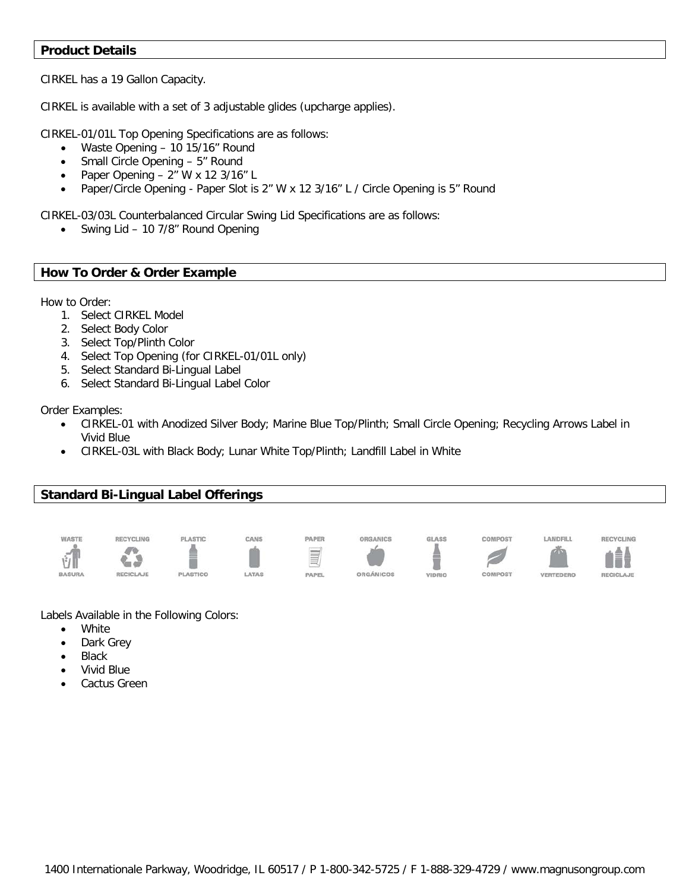#### **Product Details**

CIRKEL has a 19 Gallon Capacity.

CIRKEL is available with a set of 3 adjustable glides (upcharge applies).

CIRKEL-01/01L Top Opening Specifications are as follows:

- Waste Opening 10 15/16" Round
- Small Circle Opening 5" Round
- Paper Opening 2" W x 12 3/16" L
- Paper/Circle Opening Paper Slot is 2" W x 12 3/16" L / Circle Opening is 5" Round

CIRKEL-03/03L Counterbalanced Circular Swing Lid Specifications are as follows:

• Swing Lid – 10 7/8" Round Opening

## **How To Order & Order Example**

How to Order:

- 1. Select CIRKEL Model
- 2. Select Body Color
- 3. Select Top/Plinth Color
- 4. Select Top Opening (for CIRKEL-01/01L only)
- 5. Select Standard Bi-Lingual Label
- 6. Select Standard Bi-Lingual Label Color

Order Examples:

- CIRKEL-01 with Anodized Silver Body; Marine Blue Top/Plinth; Small Circle Opening; Recycling Arrows Label in Vivid Blue
- CIRKEL-03L with Black Body; Lunar White Top/Plinth; Landfill Label in White

## **Standard Bi-Lingual Label Offerings**



Labels Available in the Following Colors:

- **White**
- Dark Grey
- **Black**
- Vivid Blue
- Cactus Green